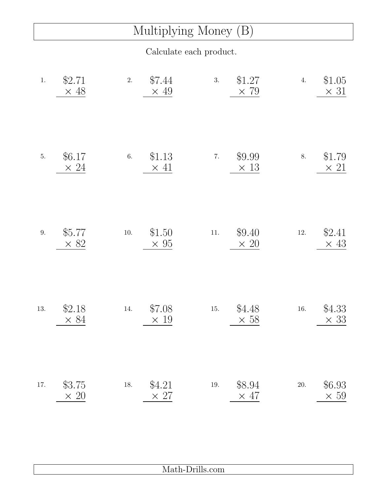## Multiplying Money (B)

Calculate each product.

| 1.      | \$2.71<br>$\times$ 48 | \$7.44<br>2.<br>$\times$ 49       | 3.<br>\$1.27<br>$\times$ 79       | \$1.05<br>4.<br>$\times$ 31       |
|---------|-----------------------|-----------------------------------|-----------------------------------|-----------------------------------|
| $5. \,$ | \$6.17<br>$\times 24$ | \$1.13<br>$6. \,$<br>$\times$ 41  | $7. \,$<br>\$9.99<br>$\times$ 13  | \$1.79<br>8.<br>$\times$ 21       |
| $9. \,$ | \$5.77<br>$\times$ 82 | \$1.50<br>$10. \,$<br>$\times 95$ | \$9.40<br>$11. \,$<br>$\times 20$ | \$2.41<br>$12. \,$<br>$\times$ 43 |
| 13.     | \$2.18<br>$\times 84$ | \$7.08<br>14.<br>$\times$ 19      | \$4.48<br>$15. \,$<br>$\times 58$ | \$4.33<br>$16. \,$<br>$\times$ 33 |
| 17.     | \$3.75<br>$\times$ 20 | \$4.21<br>$18. \,$<br>$\times$ 27 | \$8.94<br>$19. \,$<br>$\times$ 47 | \$6.93<br>$20. \,$<br>$\times 59$ |